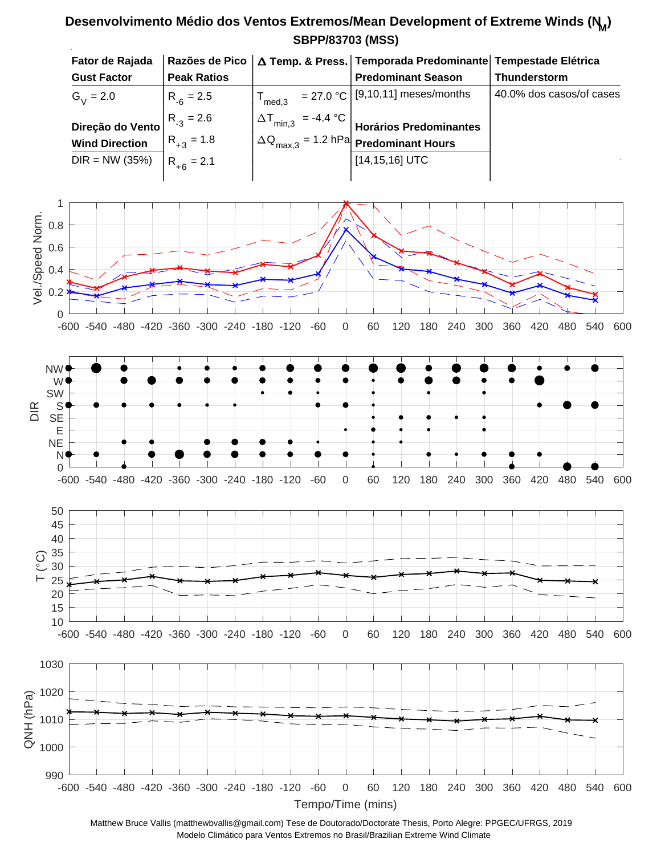## **SBPP/83703 (MSS) Desenvolvimento Médio dos Ventos Extremos/Mean Development of Extreme Winds (N<sup>M</sup> )**

| Fator de Rajada       |                    |                               | Razões de Pico   △ Temp. & Press.   Temporada Predominante   Tempestade Elétrica |                          |
|-----------------------|--------------------|-------------------------------|----------------------------------------------------------------------------------|--------------------------|
| <b>Gust Factor</b>    | <b>Peak Ratios</b> |                               | <b>Predominant Season</b>                                                        | <b>Thunderstorm</b>      |
| $G_{V} = 2.0$         | $R_{-6} = 2.5$     | $\mathsf{T}_{\mathsf{med.3}}$ | $= 27.0 °C$ [9,10,11] meses/months                                               | 40.0% dos casos/of cases |
| Direção do Vento      | $R_{-3} = 2.6$     | $\Delta T_{min,3}$ = -4.4 °C  | Horários Predominantes                                                           |                          |
| <b>Wind Direction</b> | $R_{+3} = 1.8$     |                               | $\Delta Q_{\text{max.3}}$ = 1.2 hPa Predominant Hours                            |                          |
| $DIR = NW (35%)$      | $R_{+6} = 2.1$     |                               | $[14, 15, 16]$ UTC                                                               |                          |
|                       |                    |                               |                                                                                  |                          |





Matthew Bruce Vallis (matthewbvallis@gmail.com) Tese de Doutorado/Doctorate Thesis, Porto Alegre: PPGEC/UFRGS, 2019 Modelo Climático para Ventos Extremos no Brasil/Brazilian Extreme Wind Climate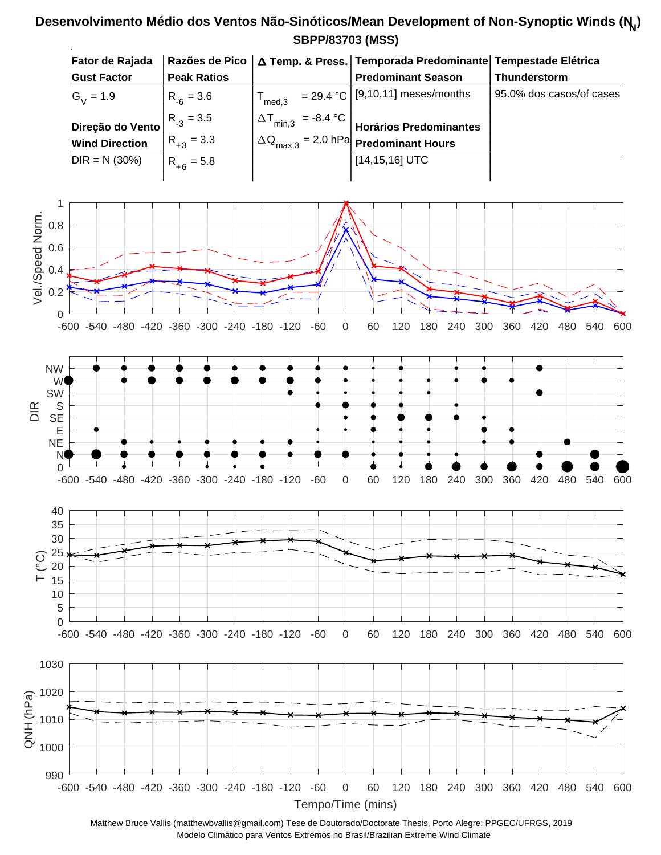## **SBPP/83703 (MSS) Desenvolvimento Médio dos Ventos Não-Sinóticos/Mean Development of Non-Synoptic Winds (N<sup>N</sup> )**



Matthew Bruce Vallis (matthewbvallis@gmail.com) Tese de Doutorado/Doctorate Thesis, Porto Alegre: PPGEC/UFRGS, 2019 Modelo Climático para Ventos Extremos no Brasil/Brazilian Extreme Wind Climate